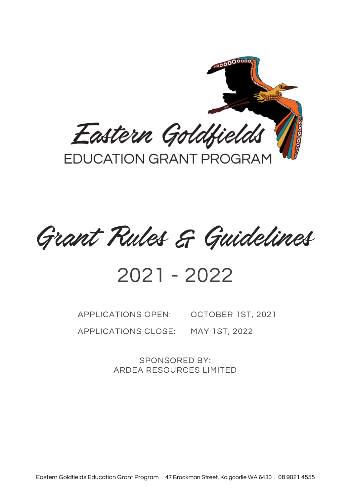

Grant Rules & Guidelines

# 2021 - 2022

APPLICATIONS OPEN: OCTOBER 1ST, 2021 APPLICATIONS CLOSE: MAY 1ST, 2022

> SPONSORED BY: ARDEA RESOURCES LIMITED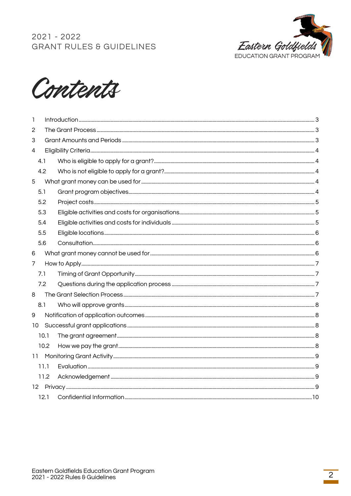



| Т.              |      |  |  |  |
|-----------------|------|--|--|--|
| 2               |      |  |  |  |
| 3               |      |  |  |  |
| 4               |      |  |  |  |
|                 | 4.1  |  |  |  |
|                 | 4.2  |  |  |  |
| 5               |      |  |  |  |
|                 | 5.1  |  |  |  |
|                 | 5.2  |  |  |  |
|                 | 5.3  |  |  |  |
|                 | 5.4  |  |  |  |
|                 | 5.5  |  |  |  |
|                 | 5.6  |  |  |  |
| 6               |      |  |  |  |
| $\overline{7}$  |      |  |  |  |
|                 | 7.1  |  |  |  |
|                 | 7.2  |  |  |  |
| 8               |      |  |  |  |
|                 | 8.1  |  |  |  |
| 9               |      |  |  |  |
| 10 <sup>°</sup> |      |  |  |  |
|                 | 10.1 |  |  |  |
|                 | 10.2 |  |  |  |
| $11 -$          |      |  |  |  |
|                 | 11.1 |  |  |  |
|                 | 11.2 |  |  |  |
|                 |      |  |  |  |
|                 | 12.1 |  |  |  |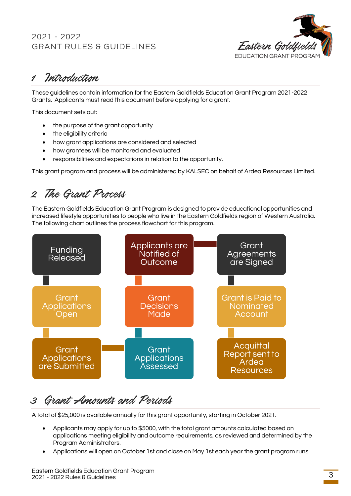

## <span id="page-2-0"></span>1 Introduction

These guidelines contain information for the Eastern Goldfields Education Grant Program 2021-2022 Grants. Applicants must read this document before applying for a grant.

This document sets out:

- the purpose of the grant opportunity
- the eligibility criteria
- how grant applications are considered and selected
- how grantees will be monitored and evaluated
- responsibilities and expectations in relation to the opportunity.

This grant program and process will be administered by KALSEC on behalf of Ardea Resources Limited.

## <span id="page-2-1"></span>2 The Grant Process

The Eastern Goldfields Education Grant Program is designed to provide educational opportunities and increased lifestyle opportunities to people who live in the Eastern Goldfields region of Western Australia. The following chart outlines the process flowchart for this program.



## <span id="page-2-2"></span>3 Grant Amounts and Periods

A total of \$25,000 is available annually for this grant opportunity, starting in October 2021.

- Applicants may apply for up to \$5000, with the total grant amounts calculated based on applications meeting eligibility and outcome requirements, as reviewed and determined by the Program Administrators.
- Applications will open on October 1st and close on May 1st each year the grant program runs.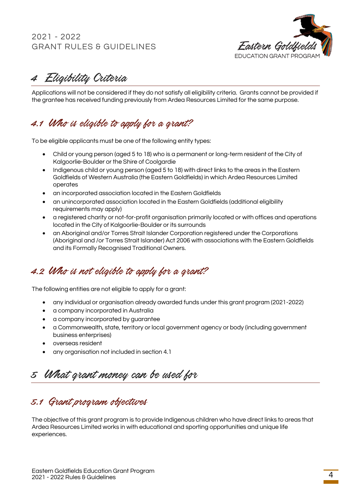

<span id="page-3-0"></span>4 Eligibility Criteria

Applications will not be considered if they do not satisfy all eligibility criteria. Grants cannot be provided if the grantee has received funding previously from Ardea Resources Limited for the same purpose.

### <span id="page-3-1"></span>4.1 Who is eligible to apply for a grant?

To be eligible applicants must be one of the following entity types:

- Child or young person (aged 5 to 18) who is a permanent or long-term resident of the City of Kalgoorlie-Boulder or the Shire of Coolgardie
- Indigenous child or young person (aged 5 to 18) with direct links to the areas in the Eastern Goldfields of Western Australia (the Eastern Goldfields) in which Ardea Resources Limited operates
- an incorporated association located in the Eastern Goldfields
- an unincorporated association located in the Eastern Goldfields (additional eligibility requirements may apply)
- a registered charity or not-for-profit organisation primarily located or with offices and operations located in the City of Kalgoorlie-Boulder or its surrounds
- an Aboriginal and/or Torres Strait Islander Corporation registered under the Corporations (Aboriginal and /or Torres Strait Islander) Act 2006 with associations with the Eastern Goldfields and its Formally Recognised Traditional Owners.

## <span id="page-3-2"></span>4.2 Who is not eligible to apply for a grant?

The following entities are not eligible to apply for a grant:

- any individual or organisation already awarded funds under this grant program (2021-2022)
- a company incorporated in Australia
- a company incorporated by guarantee
- a Commonwealth, state, territory or local government agency or body (including government business enterprises)
- overseas resident
- any organisation not included in section 4.1

## <span id="page-3-3"></span>5 What grant money can be used for

### <span id="page-3-4"></span>5.1 Grant program objectives

The objective of this grant program is to provide Indigenous children who have direct links to areas that Ardea Resources Limited works in with educational and sporting opportunities and unique life experiences.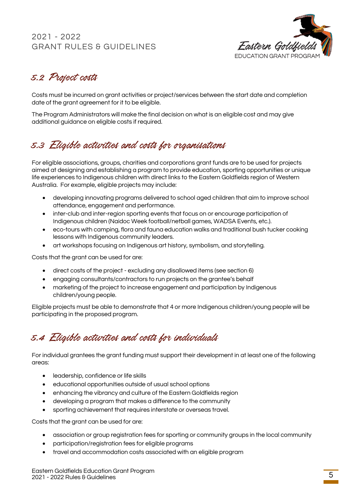

## <span id="page-4-0"></span>5.2 Project costs

Costs must be incurred on grant activities or project/services between the start date and completion date of the grant agreement for it to be eligible.

The Program Administrators will make the final decision on what is an eligible cost and may give additional guidance on eligible costs if required.

## <span id="page-4-1"></span>5.3 Eligible activities and costs for organisations

For eligible associations, groups, charities and corporations grant funds are to be used for projects aimed at designing and establishing a program to provide education, sporting opportunities or unique life experiences to Indigenous children with direct links to the Eastern Goldfields region of Western Australia. For example, eligible projects may include:

- developing innovating programs delivered to school aged children that aim to improve school attendance, engagement and performance.
- inter-club and inter-region sporting events that focus on or encourage participation of Indigenous children (Naidoc Week football/netball games, WADSA Events, etc.).
- eco-tours with camping, flora and fauna education walks and traditional bush tucker cooking lessons with Indigenous community leaders.
- art workshops focusing on Indigenous art history, symbolism, and storytelling.

Costs that the grant can be used for are:

- direct costs of the project excluding any disallowed items (see section 6)
- engaging consultants/contractors to run projects on the grantee's behalf
- marketing of the project to increase engagement and participation by Indigenous children/young people.

Eligible projects must be able to demonstrate that 4 or more Indigenous children/young people will be participating in the proposed program.

## <span id="page-4-2"></span>5.4 Eligible activities and costs for individuals

For individual grantees the grant funding must support their development in at least one of the following areas:

- leadership, confidence or life skills
- educational opportunities outside of usual school options
- enhancing the vibrancy and culture of the Eastern Goldfields region
- developing a program that makes a difference to the community
- sporting achievement that requires interstate or overseas travel.

Costs that the grant can be used for are:

- association or group registration fees for sporting or community groups in the local community
- participation/registration fees for eligible programs
- travel and accommodation costs associated with an eligible program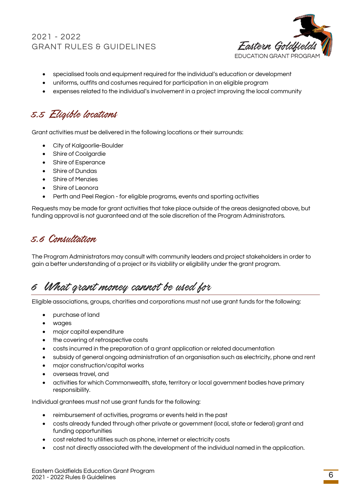

- specialised tools and equipment required for the individual's education or development
- uniforms, outfits and costumes required for participation in an eligible program
- expenses related to the individual's involvement in a project improving the local community

## <span id="page-5-0"></span>5.5 Eligible locations

Grant activities must be delivered in the following locations or their surrounds:

- City of Kalgoorlie-Boulder
- Shire of Coolgardie
- Shire of Esperance
- Shire of Dundas
- Shire of Menzies
- Shire of Leonora
- Perth and Peel Region for eligible programs, events and sporting activities

Requests may be made for grant activities that take place outside of the areas designated above, but funding approval is not guaranteed and at the sole discretion of the Program Administrators.

### <span id="page-5-1"></span>5.6 Consultation

The Program Administrators may consult with community leaders and project stakeholders in order to gain a better understanding of a project or its viability or eligibility under the grant program.

## <span id="page-5-2"></span>6 What grant money cannot be used for

Eligible associations, groups, charities and corporations must not use grant funds for the following:

- purchase of land
- wages
- major capital expenditure
- the covering of retrospective costs
- costs incurred in the preparation of a grant application or related documentation
- subsidy of general ongoing administration of an organisation such as electricity, phone and rent
- major construction/capital works
- overseas travel, and
- activities for which Commonwealth, state, territory or local government bodies have primary responsibility.

Individual grantees must not use grant funds for the following:

- reimbursement of activities, programs or events held in the past
- costs already funded through other private or government (local, state or federal) grant and funding opportunities
- cost related to utilities such as phone, internet or electricity costs
- cost not directly associated with the development of the individual named in the application.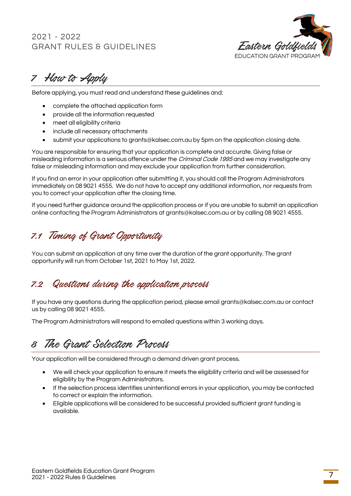

<span id="page-6-0"></span>7 How to Apply

Before applying, you must read and understand these guidelines and:

- complete the attached application form
- provide all the information requested
- meet all eligibility criteria
- include all necessary attachments
- submit your applications to grants@kalsec.com.au by 5pm on the application closing date.

You are responsible for ensuring that your application is complete and accurate. Giving false or misleading information is a serious offence under the *Criminal Code 1995* and we may investigate any false or misleading information and may exclude your application from further consideration.

If you find an error in your application after submitting it, you should call the Program Administrators immediately on 08 9021 4555. We do not have to accept any additional information, nor requests from you to correct your application after the closing time.

If you need further guidance around the application process or if you are unable to submit an application online contacting the Program Administrators at grants@kalsec.com.au or by calling 08 9021 4555.

### <span id="page-6-1"></span>7.1 Timing of Grant Opportunity

You can submit an application at any time over the duration of the grant opportunity. The grant opportunity will run from October 1st, 2021 to May 1st, 2022.

### <span id="page-6-2"></span>7.2 Questions during the application process

If you have any questions during the application period, please email grants@kalsec.com.au or contact us by calling 08 9021 4555.

The Program Administrators will respond to emailed questions within 3 working days.

## <span id="page-6-3"></span>8 The Grant Selection Process

Your application will be considered through a demand driven grant process.

- We will check your application to ensure it meets the eligibility criteria and will be assessed for eligibility by the Program Administrators.
- If the selection process identifies unintentional errors in your application, you may be contacted to correct or explain the information.
- Eligible applications will be considered to be successful provided sufficient grant funding is available.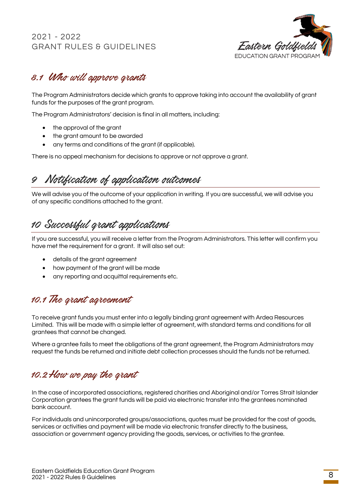

### <span id="page-7-0"></span>8.1 Who will approve grants

The Program Administrators decide which grants to approve taking into account the availability of grant funds for the purposes of the grant program.

The Program Administrators' decision is final in all matters, including:

- the approval of the grant
- the grant amount to be awarded
- any terms and conditions of the grant (if applicable).

There is no appeal mechanism for decisions to approve or not approve a grant.

## <span id="page-7-1"></span>9 Notification of application outcomes

We will advise you of the outcome of your application in writing. If you are successful, we will advise you of any specific conditions attached to the grant.

## <span id="page-7-2"></span>10 Successful grant applications

If you are successful, you will receive a letter from the Program Administrators. This letter will confirm you have met the requirement for a grant. It will also set out:

- details of the grant agreement
- how payment of the grant will be made
- any reporting and acquittal requirements etc.

### <span id="page-7-3"></span>10.1 The grant agreement

To receive grant funds you must enter into a legally binding grant agreement with Ardea Resources Limited. This will be made with a simple letter of agreement, with standard terms and conditions for all grantees that cannot be changed.

Where a grantee fails to meet the obligations of the grant agreement, the Program Administrators may request the funds be returned and initiate debt collection processes should the funds not be returned.

### <span id="page-7-4"></span>10.2How we pay the grant

In the case of incorporated associations, registered charities and Aboriginal and/or Torres Strait Islander Corporation grantees the grant funds will be paid via electronic transfer into the grantees nominated bank account.

For individuals and unincorporated groups/associations, quotes must be provided for the cost of goods, services or activities and payment will be made via electronic transfer directly to the business, association or government agency providing the goods, services, or activities to the grantee.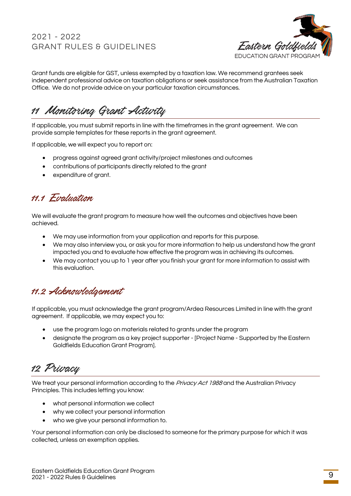

Grant funds are eligible for GST, unless exempted by a taxation law. We recommend grantees seek independent professional advice on taxation obligations or seek assistance from the Australian Taxation Office. We do not provide advice on your particular taxation circumstances.

<span id="page-8-0"></span>11 Monitoring Grant Activity

If applicable, you must submit reports in line with the timeframes in the grant agreement. We can provide sample templates for these reports in the grant agreement.

If applicable, we will expect you to report on:

- progress against agreed grant activity/project milestones and outcomes
- contributions of participants directly related to the grant
- expenditure of grant.

### <span id="page-8-1"></span>11.1 Evaluation

We will evaluate the grant program to measure how well the outcomes and objectives have been achieved.

- We may use information from your application and reports for this purpose.
- We may also interview you, or ask you for more information to help us understand how the grant impacted you and to evaluate how effective the program was in achieving its outcomes.
- We may contact you up to 1 year after you finish your grant for more information to assist with this evaluation.

### <span id="page-8-2"></span>11.2 Acknowledgement

If applicable, you must acknowledge the grant program/Ardea Resources Limited in line with the grant agreement. If applicable, we may expect you to:

- use the program logo on materials related to grants under the program
- designate the program as a key project supporter [Project Name Supported by the Eastern Goldfields Education Grant Program].

<span id="page-8-3"></span>12 Privacy

We treat your personal information according to the Privacy Act 1988 and the Australian Privacy Principles. This includes letting you know:

- what personal information we collect
- why we collect your personal information
- who we give your personal information to.

Your personal information can only be disclosed to someone for the primary purpose for which it was collected, unless an exemption applies.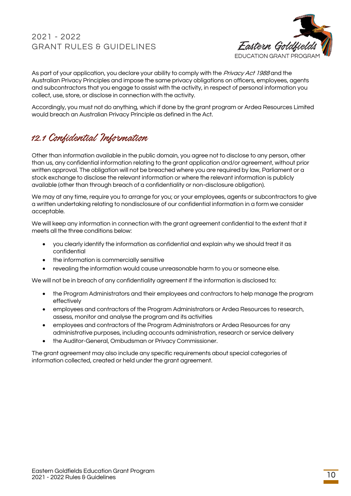

As part of your application, you declare your ability to comply with the *Privacy Act 1988* and the Australian Privacy Principles and impose the same privacy obligations on officers, employees, agents and subcontractors that you engage to assist with the activity, in respect of personal information you collect, use, store, or disclose in connection with the activity.

Accordingly, you must not do anything, which if done by the grant program or Ardea Resources Limited would breach an Australian Privacy Principle as defined in the Act.

### <span id="page-9-0"></span>12.1 Confidential Information

Other than information available in the public domain, you agree not to disclose to any person, other than us, any confidential information relating to the grant application and/or agreement, without prior written approval. The obligation will not be breached where you are required by law, Parliament or a stock exchange to disclose the relevant information or where the relevant information is publicly available (other than through breach of a confidentiality or non-disclosure obligation).

We may at any time, require you to arrange for you; or your employees, agents or subcontractors to give a written undertaking relating to nondisclosure of our confidential information in a form we consider acceptable.

We will keep any information in connection with the grant agreement confidential to the extent that it meets all the three conditions below:

- you clearly identify the information as confidential and explain why we should treat it as confidential
- the information is commercially sensitive
- revealing the information would cause unreasonable harm to you or someone else.

We will not be in breach of any confidentiality agreement if the information is disclosed to:

- the Program Administrators and their employees and contractors to help manage the program effectively
- employees and contractors of the Program Administrators or Ardea Resources to research, assess, monitor and analyse the program and its activities
- employees and contractors of the Program Administrators or Ardea Resources for any administrative purposes, including accounts administration, research or service delivery
- the Auditor-General, Ombudsman or Privacy Commissioner.

The grant agreement may also include any specific requirements about special categories of information collected, created or held under the grant agreement.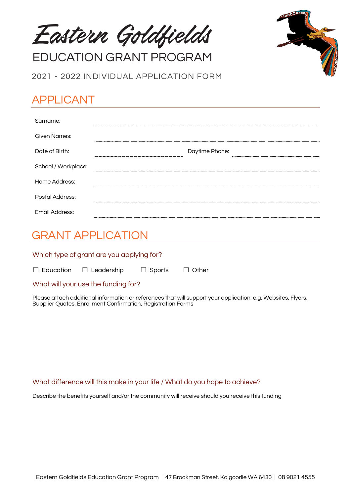Eastern Goldfields

**EDUCATION GRANT PROGRAM** 

2021 - 2022 INDIVIDUAL APPLICATION FORM

## APPLICANT

| Surname:            |                |
|---------------------|----------------|
| Given Names:        |                |
| Date of Birth:      | Daytime Phone: |
| School / Workplace: | $- - - -$      |
| Home Address:       |                |
| Postal Address:     |                |
| Email Address:      |                |

## GRANT APPLICATION

Which type of grant are you applying for?

☐ Education ☐ Leadership ☐ Sports ☐ Other

What will your use the funding for?

Please attach additional information or references that will support your application, e.g. Websites, Flyers, Supplier Quotes, Enrollment Confirmation, Registration Forms

#### What difference will this make in your life / What do you hope to achieve?

Describe the benefits yourself and/or the community will receive should you receive this funding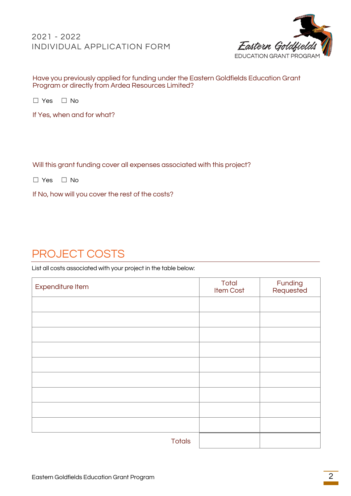#### 2021 - 2022 INDIVIDUAL APPLICATION FORM



#### Have you previously applied for funding under the Eastern Goldfields Education Grant Program or directly from Ardea Resources Limited?

☐ Yes ☐ No

If Yes, when and for what?

#### Will this grant funding cover all expenses associated with this project?

☐ Yes ☐ No

If No, how will you cover the rest of the costs?

## PROJECT COSTS

List all costs associated with your project in the table below:

| Expenditure Item | Total<br>Item Cost | Funding<br>Requested |
|------------------|--------------------|----------------------|
|                  |                    |                      |
|                  |                    |                      |
|                  |                    |                      |
|                  |                    |                      |
|                  |                    |                      |
|                  |                    |                      |
|                  |                    |                      |
|                  |                    |                      |
|                  |                    |                      |
| <b>Totals</b>    |                    |                      |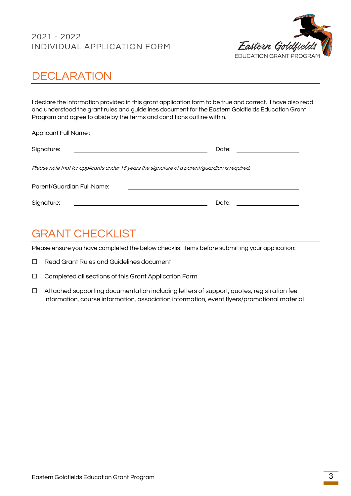#### 2021 - 2022 INDIVIDUAL APPLICATION FORM



## **DECLARATION**

I declare the information provided in this grant application form to be true and correct. I have also read and understood the grant rules and guidelines document for the Eastern Goldfields Education Grant Program and agree to abide by the terms and conditions outline within.

| <b>Applicant Full Name:</b>                                                                    |                           |
|------------------------------------------------------------------------------------------------|---------------------------|
| Signature:<br><u> 1989 - Johann Stein, Amerikaansk politiker (</u>                             | Date: ___________________ |
| Please note that for applicants under 16 years the signature of a parent/guardian is required. |                           |
| Parent/Guardian Full Name:                                                                     |                           |
| Signature:                                                                                     | Date:                     |

## GRANT CHECKLIST

Please ensure you have completed the below checklist items before submitting your application:

- ☐ Read Grant Rules and Guidelines document
- ☐ Completed all sections of this Grant Application Form
- ☐ Attached supporting documentation including letters of support, quotes, registration fee information, course information, association information, event flyers/promotional material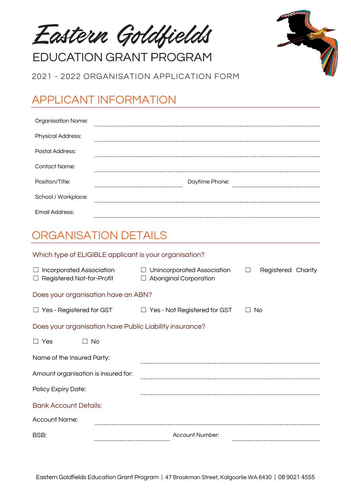Eastern Goldfields

**EDUCATION GRANT PROGRAM** 

2021 - 2022 ORGANISATION APPLICATION FORM

## APPLICANT INFORMATION

| <b>Organisation Name:</b> |                |
|---------------------------|----------------|
| <b>Physical Address:</b>  |                |
| Postal Address:           |                |
| <b>Contact Name:</b>      |                |
| Position/Title:           | Daytime Phone: |
| School / Workplace:       |                |
| Email Address:            |                |

## ORGANISATION DETAILS

| Which type of ELIGIBLE applicant is your organisation?              |                                                                       |                              |  |  |
|---------------------------------------------------------------------|-----------------------------------------------------------------------|------------------------------|--|--|
| $\Box$ Incorporated Association<br>$\Box$ Registered Not-for-Profit | Unincorporated Association<br>$\Box$<br><b>Aboriginal Corporation</b> | $\Box$<br>Registered Charity |  |  |
| Does your organisation have an ABN?                                 |                                                                       |                              |  |  |
| $\Box$ Yes - Registered for GST                                     | Yes - Not Registered for GST<br>$\Box$                                | No                           |  |  |
| Does your organisation have Public Liability insurance?             |                                                                       |                              |  |  |
| $\Box$ Yes<br>No.<br>$\Box$                                         |                                                                       |                              |  |  |
| Name of the Insured Party:                                          |                                                                       |                              |  |  |
| Amount organisation is insured for:                                 |                                                                       |                              |  |  |
| Policy Expiry Date:                                                 |                                                                       |                              |  |  |
| <b>Bank Account Details:</b>                                        |                                                                       |                              |  |  |
| <b>Account Name:</b>                                                |                                                                       |                              |  |  |
| BSB:                                                                | Account Number:                                                       |                              |  |  |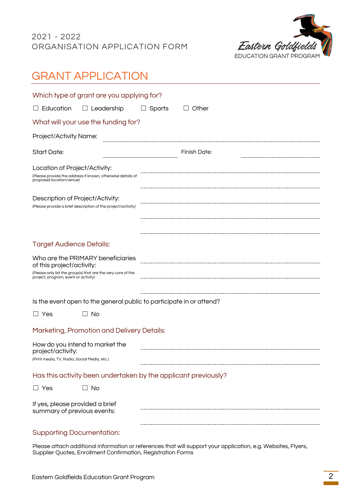

## GRANT APPLICATION

|                                                                                                      | Which type of grant are you applying for?                                                         |        |              |
|------------------------------------------------------------------------------------------------------|---------------------------------------------------------------------------------------------------|--------|--------------|
| $\Box$ Education                                                                                     | $\Box$ Leadership                                                                                 | Sports | Other        |
|                                                                                                      | What will your use the funding for?                                                               |        |              |
| Project/Activity Name:                                                                               |                                                                                                   |        |              |
| <b>Start Date:</b>                                                                                   |                                                                                                   |        | Finish Date: |
| Location of Project/Activity:<br>proposed location/venue)                                            | (Please provide the address if known, otherwise details of                                        |        |              |
| Description of Project/Activity:                                                                     | (Please provide a brief description of the project/activity)                                      |        |              |
| <b>Target Audience Details:</b><br>of this project/activity:<br>project, program, event or activity) | Who are the PRIMARY beneficiaries<br>(Please only list the group(s) that are the very core of the |        |              |
|                                                                                                      | Is the event open to the general public to participate in or attend?                              |        |              |
| $\Box$ Yes                                                                                           | <b>No</b><br>$\Box$                                                                               |        |              |
|                                                                                                      | Marketing, Promotion and Delivery Details:                                                        |        |              |
| project/activity:<br>(Print media, TV, Radio, Social Media, etc.)                                    | How do you intend to market the                                                                   |        |              |
|                                                                                                      | Has this activity been undertaken by the applicant previously?                                    |        |              |
| $\Box$ Yes                                                                                           | $\Box$ No                                                                                         |        |              |
| If yes, please provided a brief<br>summary of previous events:                                       |                                                                                                   |        |              |

#### Supporting Documentation:

Please attach additional information or references that will support your application, e.g. Websites, Flyers, Supplier Quotes, Enrollment Confirmation, Registration Forms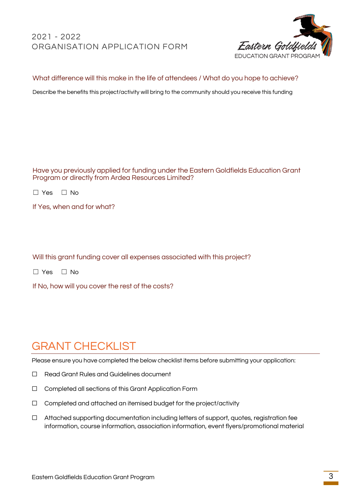#### 2021 - 2022 ORGANISATION APPLICATION FORM



#### What difference will this make in the life of attendees / What do you hope to achieve?

Describe the benefits this project/activity will bring to the community should you receive this funding

Have you previously applied for funding under the Eastern Goldfields Education Grant Program or directly from Ardea Resources Limited?

|  |  | Nο |
|--|--|----|
|--|--|----|

If Yes, when and for what?

Will this grant funding cover all expenses associated with this project?

☐ Yes ☐ No

If No, how will you cover the rest of the costs?

## GRANT CHECKLIST

Please ensure you have completed the below checklist items before submitting your application:

- ☐ Read Grant Rules and Guidelines document
- ☐ Completed all sections of this Grant Application Form
- ☐ Completed and attached an itemised budget for the project/activity
- ☐ Attached supporting documentation including letters of support, quotes, registration fee information, course information, association information, event flyers/promotional material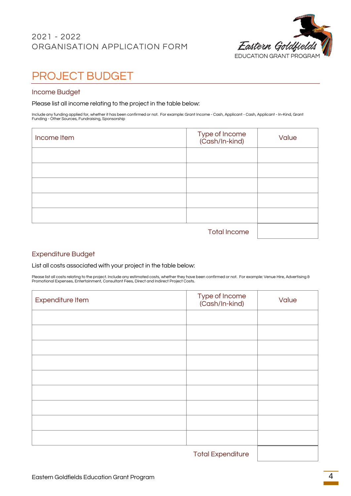#### 2021 - 2022 ORGANISATION APPLICATION FORM



## PROJECT BUDGET

#### Income Budget

Please list all income relating to the project in the table below:

Include any funding applied for, whether it has been confirmed or not. For example: Grant Income - Cash, Applicant - Cash, Applicant - In-Kind, Grant<br>Funding - Other Sources, Fundraising, Sponsorship

| Income Item         | Type of Income<br>(Cash/In-kind) | Value |
|---------------------|----------------------------------|-------|
|                     |                                  |       |
|                     |                                  |       |
|                     |                                  |       |
|                     |                                  |       |
|                     |                                  |       |
| <b>Total Income</b> |                                  |       |

#### Expenditure Budget

List all costs associated with your project in the table below:

Please list all costs relating to the project. Include any estimated costs, whether they have been confirmed or not. For example: Venue Hire, Advertising &<br>Promotional Expenses, Entertainment, Consultant Fees, Direct and I

| Expenditure Item | Type of Income<br>(Cash/In-kind) | Value |
|------------------|----------------------------------|-------|
|                  |                                  |       |
|                  |                                  |       |
|                  |                                  |       |
|                  |                                  |       |
|                  |                                  |       |
|                  |                                  |       |
|                  |                                  |       |
|                  |                                  |       |
|                  |                                  |       |
|                  |                                  |       |

Total Expenditure